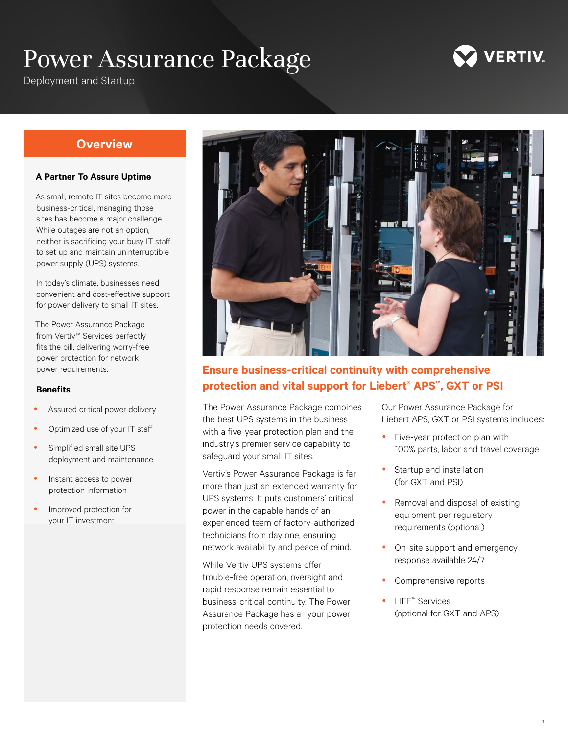# Power Assurance Package



Deployment and Startup

# **Overview**

#### **A Partner To Assure Uptime**

As small, remote IT sites become more business-critical, managing those sites has become a major challenge. While outages are not an option, neither is sacrificing your busy IT staff to set up and maintain uninterruptible power supply (UPS) systems.

In today's climate, businesses need convenient and cost-effective support for power delivery to small IT sites.

The Power Assurance Package from Vertiv™ Services perfectly fits the bill, delivering worry-free power protection for network power requirements.

#### **Benefits**

- Assured critical power delivery
- Optimized use of your IT staff
- Simplified small site UPS deployment and maintenance
- Instant access to power protection information
- Improved protection for your IT investment



# **Ensure business-critical continuity with comprehensive protection and vital support for Liebert® APS™, GXT or PSI**

The Power Assurance Package combines the best UPS systems in the business with a five-year protection plan and the industry's premier service capability to safeguard your small IT sites.

Vertiv's Power Assurance Package is far more than just an extended warranty for UPS systems. It puts customers' critical power in the capable hands of an experienced team of factory-authorized technicians from day one, ensuring network availability and peace of mind.

While Vertiv UPS systems offer trouble-free operation, oversight and rapid response remain essential to business-critical continuity. The Power Assurance Package has all your power protection needs covered.

Our Power Assurance Package for Liebert APS, GXT or PSI systems includes:

- Five-year protection plan with 100% parts, labor and travel coverage
- Startup and installation (for GXT and PSI)
- Removal and disposal of existing equipment per regulatory requirements (optional)
- On-site support and emergency response available 24/7
- Comprehensive reports
- LIFE<sup>™</sup> Services (optional for GXT and APS)

1